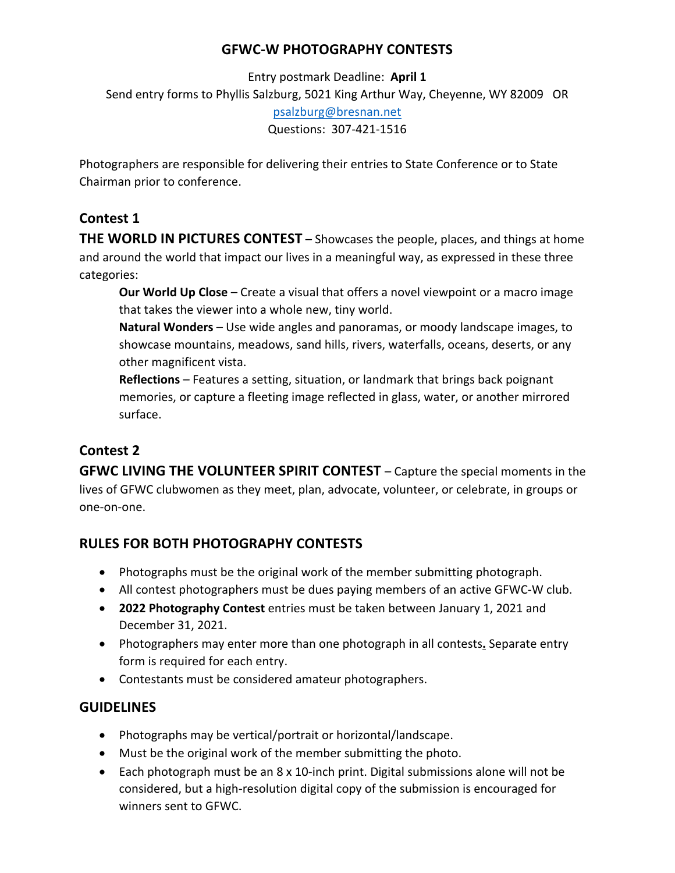### **GFWC-W PHOTOGRAPHY CONTESTS**

Entry postmark Deadline: **April 1** Send entry forms to Phyllis Salzburg, 5021 King Arthur Way, Cheyenne, WY 82009 OR psalzburg@bresnan.net Questions: 307-421-1516

Photographers are responsible for delivering their entries to State Conference or to State Chairman prior to conference.

# **Contest 1**

**THE WORLD IN PICTURES CONTEST** – Showcases the people, places, and things at home and around the world that impact our lives in a meaningful way, as expressed in these three categories:

**Our World Up Close** – Create a visual that offers a novel viewpoint or a macro image that takes the viewer into a whole new, tiny world.

**Natural Wonders** – Use wide angles and panoramas, or moody landscape images, to showcase mountains, meadows, sand hills, rivers, waterfalls, oceans, deserts, or any other magnificent vista.

**Reflections** – Features a setting, situation, or landmark that brings back poignant memories, or capture a fleeting image reflected in glass, water, or another mirrored surface.

## **Contest 2**

**GFWC LIVING THE VOLUNTEER SPIRIT CONTEST** – Capture the special moments in the lives of GFWC clubwomen as they meet, plan, advocate, volunteer, or celebrate, in groups or one-on-one.

## **RULES FOR BOTH PHOTOGRAPHY CONTESTS**

- Photographs must be the original work of the member submitting photograph.
- All contest photographers must be dues paying members of an active GFWC-W club.
- **2022 Photography Contest** entries must be taken between January 1, 2021 and December 31, 2021.
- Photographers may enter more than one photograph in all contests**.** Separate entry form is required for each entry.
- Contestants must be considered amateur photographers.

## **GUIDELINES**

- Photographs may be vertical/portrait or horizontal/landscape.
- Must be the original work of the member submitting the photo.
- Each photograph must be an 8 x 10-inch print. Digital submissions alone will not be considered, but a high-resolution digital copy of the submission is encouraged for winners sent to GFWC.